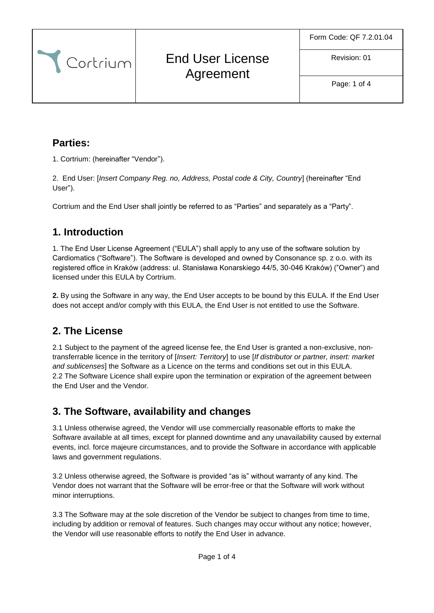Revision: 01

Cortrium End User License Agreement

Page: 1 of 4

#### **Parties:**

1. Cortrium: (hereinafter "Vendor").

2. End User: [*Insert Company Reg. no, Address, Postal code & City, Country*] (hereinafter "End User").

Cortrium and the End User shall jointly be referred to as "Parties" and separately as a "Party".

#### **1. Introduction**

1. The End User License Agreement ("EULA") shall apply to any use of the software solution by Cardiomatics ("Software"). The Software is developed and owned by Consonance sp. z o.o. with its registered office in Kraków (address: ul. Stanisława Konarskiego 44/5, 30-046 Kraków) ("Owner") and licensed under this EULA by Cortrium.

**2.** By using the Software in any way, the End User accepts to be bound by this EULA. If the End User does not accept and/or comply with this EULA, the End User is not entitled to use the Software.

### **2. The License**

2.1 Subject to the payment of the agreed license fee, the End User is granted a non-exclusive, nontransferrable licence in the territory of [*Insert: Territory*] to use [*If distributor or partner, insert: market and sublicenses*] the Software as a Licence on the terms and conditions set out in this EULA. 2.2 The Software Licence shall expire upon the termination or expiration of the agreement between the End User and the Vendor.

### **3. The Software, availability and changes**

3.1 Unless otherwise agreed, the Vendor will use commercially reasonable efforts to make the Software available at all times, except for planned downtime and any unavailability caused by external events, incl. force majeure circumstances, and to provide the Software in accordance with applicable laws and government regulations.

3.2 Unless otherwise agreed, the Software is provided "as is" without warranty of any kind. The Vendor does not warrant that the Software will be error-free or that the Software will work without minor interruptions.

3.3 The Software may at the sole discretion of the Vendor be subject to changes from time to time, including by addition or removal of features. Such changes may occur without any notice; however, the Vendor will use reasonable efforts to notify the End User in advance.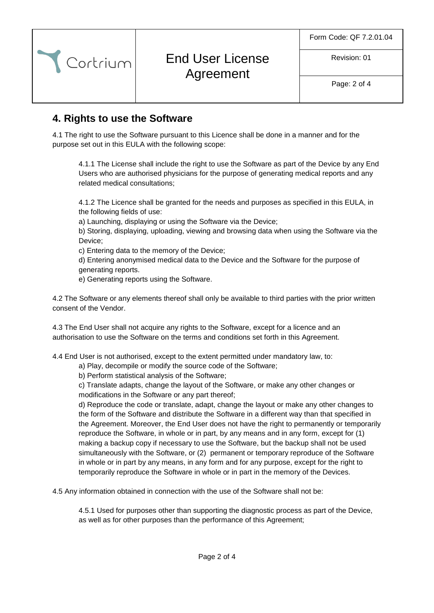Revision: 01

# End User License Agreement

Page: 2 of 4

### **4. Rights to use the Software**

Cortrium

4.1 The right to use the Software pursuant to this Licence shall be done in a manner and for the purpose set out in this EULA with the following scope:

4.1.1 The License shall include the right to use the Software as part of the Device by any End Users who are authorised physicians for the purpose of generating medical reports and any related medical consultations;

4.1.2 The Licence shall be granted for the needs and purposes as specified in this EULA, in the following fields of use:

a) Launching, displaying or using the Software via the Device;

b) Storing, displaying, uploading, viewing and browsing data when using the Software via the Device;

c) Entering data to the memory of the Device;

d) Entering anonymised medical data to the Device and the Software for the purpose of generating reports.

e) Generating reports using the Software.

4.2 The Software or any elements thereof shall only be available to third parties with the prior written consent of the Vendor.

4.3 The End User shall not acquire any rights to the Software, except for a licence and an authorisation to use the Software on the terms and conditions set forth in this Agreement.

4.4 End User is not authorised, except to the extent permitted under mandatory law, to:

a) Play, decompile or modify the source code of the Software;

b) Perform statistical analysis of the Software;

c) Translate adapts, change the layout of the Software, or make any other changes or modifications in the Software or any part thereof;

d) Reproduce the code or translate, adapt, change the layout or make any other changes to the form of the Software and distribute the Software in a different way than that specified in the Agreement. Moreover, the End User does not have the right to permanently or temporarily reproduce the Software, in whole or in part, by any means and in any form, except for (1) making a backup copy if necessary to use the Software, but the backup shall not be used simultaneously with the Software, or (2) permanent or temporary reproduce of the Software in whole or in part by any means, in any form and for any purpose, except for the right to temporarily reproduce the Software in whole or in part in the memory of the Devices.

4.5 Any information obtained in connection with the use of the Software shall not be:

4.5.1 Used for purposes other than supporting the diagnostic process as part of the Device, as well as for other purposes than the performance of this Agreement;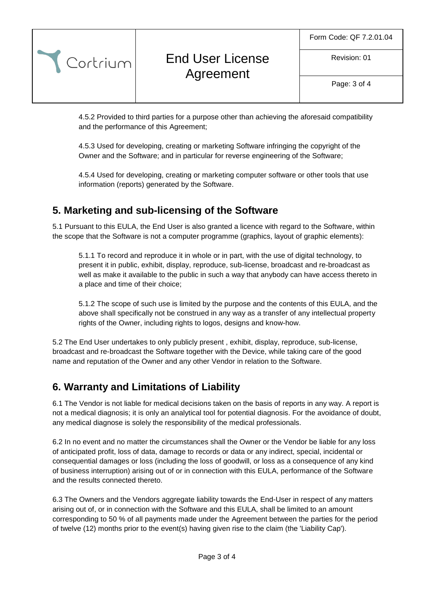Revision: 01

# End User License Agreement

Page: 3 of 4

4.5.2 Provided to third parties for a purpose other than achieving the aforesaid compatibility and the performance of this Agreement;

4.5.3 Used for developing, creating or marketing Software infringing the copyright of the Owner and the Software; and in particular for reverse engineering of the Software;

4.5.4 Used for developing, creating or marketing computer software or other tools that use information (reports) generated by the Software.

### **5. Marketing and sub-licensing of the Software**

Cortrium

5.1 Pursuant to this EULA, the End User is also granted a licence with regard to the Software, within the scope that the Software is not a computer programme (graphics, layout of graphic elements):

5.1.1 To record and reproduce it in whole or in part, with the use of digital technology, to present it in public, exhibit, display, reproduce, sub-license, broadcast and re-broadcast as well as make it available to the public in such a way that anybody can have access thereto in a place and time of their choice;

5.1.2 The scope of such use is limited by the purpose and the contents of this EULA, and the above shall specifically not be construed in any way as a transfer of any intellectual property rights of the Owner, including rights to logos, designs and know-how.

5.2 The End User undertakes to only publicly present , exhibit, display, reproduce, sub-license, broadcast and re-broadcast the Software together with the Device, while taking care of the good name and reputation of the Owner and any other Vendor in relation to the Software.

### **6. Warranty and Limitations of Liability**

6.1 The Vendor is not liable for medical decisions taken on the basis of reports in any way. A report is not a medical diagnosis; it is only an analytical tool for potential diagnosis. For the avoidance of doubt, any medical diagnose is solely the responsibility of the medical professionals.

6.2 In no event and no matter the circumstances shall the Owner or the Vendor be liable for any loss of anticipated profit, loss of data, damage to records or data or any indirect, special, incidental or consequential damages or loss (including the loss of goodwill, or loss as a consequence of any kind of business interruption) arising out of or in connection with this EULA, performance of the Software and the results connected thereto.

6.3 The Owners and the Vendors aggregate liability towards the End-User in respect of any matters arising out of, or in connection with the Software and this EULA, shall be limited to an amount corresponding to 50 % of all payments made under the Agreement between the parties for the period of twelve (12) months prior to the event(s) having given rise to the claim (the 'Liability Cap').